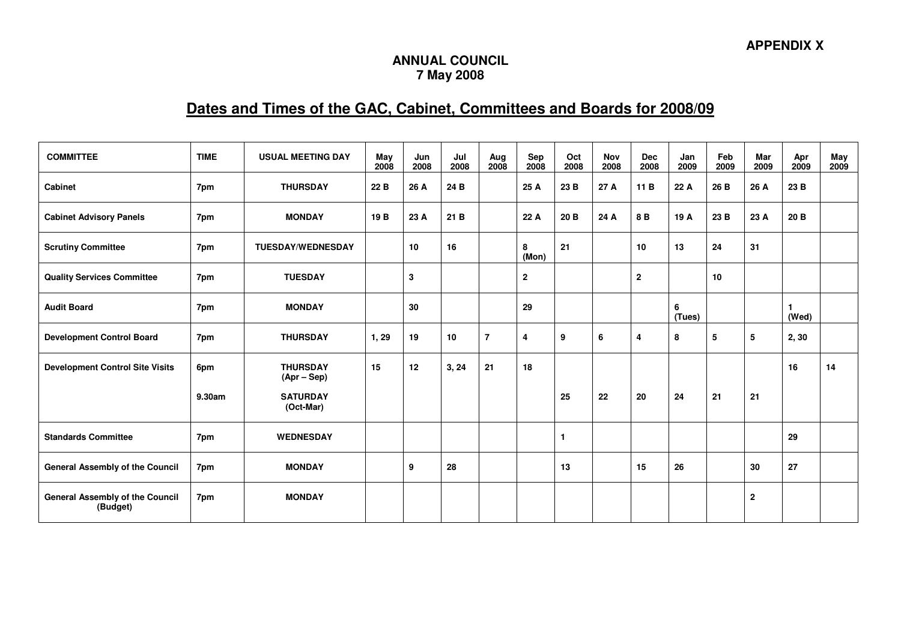## **ANNUAL COUNCIL 7 May 2008**

## **Dates and Times of the GAC, Cabinet, Committees and Boards for 2008/09**

| <b>COMMITTEE</b>                                   | <b>TIME</b> | <b>USUAL MEETING DAY</b>         | May<br>2008     | Jun<br>2008 | Jul<br>2008 | Aug<br>2008    | Sep<br>2008  | Oct<br>2008  | <b>Nov</b><br>2008 | <b>Dec</b><br>2008      | Jan<br>2009 | Feb<br>2009 | Mar<br>2009  | Apr<br>2009 | May<br>2009 |
|----------------------------------------------------|-------------|----------------------------------|-----------------|-------------|-------------|----------------|--------------|--------------|--------------------|-------------------------|-------------|-------------|--------------|-------------|-------------|
| <b>Cabinet</b>                                     | 7pm         | <b>THURSDAY</b>                  | 22 B            | 26 A        | 24 B        |                | 25 A         | 23 B         | 27 A               | 11 B                    | 22 A        | 26 B        | 26 A         | 23 B        |             |
| <b>Cabinet Advisory Panels</b>                     | 7pm         | <b>MONDAY</b>                    | 19 <sub>B</sub> | 23 A        | 21B         |                | 22 A         | 20 B         | 24 A               | 8B                      | 19 A        | 23 B        | 23 A         | 20 B        |             |
| <b>Scrutiny Committee</b>                          | 7pm         | <b>TUESDAY/WEDNESDAY</b>         |                 | 10          | 16          |                | 8<br>(Mon)   | 21           |                    | 10                      | 13          | 24          | 31           |             |             |
| <b>Quality Services Committee</b>                  | 7pm         | <b>TUESDAY</b>                   |                 | 3           |             |                | $\mathbf{2}$ |              |                    | $\mathbf{2}$            |             | 10          |              |             |             |
| <b>Audit Board</b>                                 | 7pm         | <b>MONDAY</b>                    |                 | 30          |             |                | 29           |              |                    |                         | 6<br>(Tues) |             |              | (Wed)       |             |
| <b>Development Control Board</b>                   | 7pm         | <b>THURSDAY</b>                  | 1, 29           | 19          | 10          | $\overline{7}$ | 4            | 9            | 6                  | $\overline{\mathbf{4}}$ | 8           | 5           | 5            | 2,30        |             |
| <b>Development Control Site Visits</b>             | 6pm         | <b>THURSDAY</b><br>$(Apr - Sep)$ | 15              | 12          | 3, 24       | 21             | 18           |              |                    |                         |             |             |              | 16          | 14          |
|                                                    | 9.30am      | <b>SATURDAY</b><br>(Oct-Mar)     |                 |             |             |                |              | 25           | 22                 | 20                      | 24          | 21          | 21           |             |             |
| <b>Standards Committee</b>                         | 7pm         | <b>WEDNESDAY</b>                 |                 |             |             |                |              | $\mathbf{1}$ |                    |                         |             |             |              | 29          |             |
| <b>General Assembly of the Council</b>             | 7pm         | <b>MONDAY</b>                    |                 | 9           | 28          |                |              | 13           |                    | 15                      | 26          |             | 30           | 27          |             |
| <b>General Assembly of the Council</b><br>(Budget) | 7pm         | <b>MONDAY</b>                    |                 |             |             |                |              |              |                    |                         |             |             | $\mathbf{2}$ |             |             |